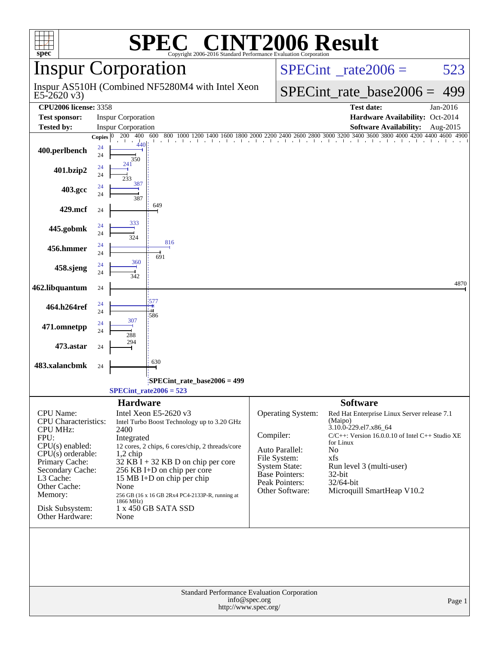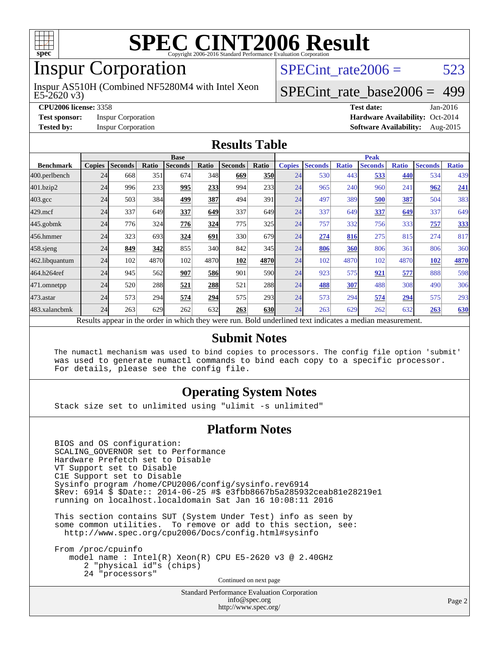

### Inspur Corporation

E5-2620 v3) Inspur AS510H (Combined NF5280M4 with Intel Xeon SPECint rate $2006 = 523$ 

#### [SPECint\\_rate\\_base2006 =](http://www.spec.org/auto/cpu2006/Docs/result-fields.html#SPECintratebase2006) 499

**[CPU2006 license:](http://www.spec.org/auto/cpu2006/Docs/result-fields.html#CPU2006license)** 3358 **[Test date:](http://www.spec.org/auto/cpu2006/Docs/result-fields.html#Testdate)** Jan-2016 **[Test sponsor:](http://www.spec.org/auto/cpu2006/Docs/result-fields.html#Testsponsor)** Inspur Corporation **[Hardware Availability:](http://www.spec.org/auto/cpu2006/Docs/result-fields.html#HardwareAvailability)** Oct-2014 **[Tested by:](http://www.spec.org/auto/cpu2006/Docs/result-fields.html#Testedby)** Inspur Corporation **[Software Availability:](http://www.spec.org/auto/cpu2006/Docs/result-fields.html#SoftwareAvailability)** Aug-2015

#### **[Results Table](http://www.spec.org/auto/cpu2006/Docs/result-fields.html#ResultsTable)**

|                    | <b>Base</b>                                                                                              |                |       |                |       |                | <b>Peak</b> |               |                |              |                |              |                |              |
|--------------------|----------------------------------------------------------------------------------------------------------|----------------|-------|----------------|-------|----------------|-------------|---------------|----------------|--------------|----------------|--------------|----------------|--------------|
| <b>Benchmark</b>   | <b>Copies</b>                                                                                            | <b>Seconds</b> | Ratio | <b>Seconds</b> | Ratio | <b>Seconds</b> | Ratio       | <b>Copies</b> | <b>Seconds</b> | <b>Ratio</b> | <b>Seconds</b> | <b>Ratio</b> | <b>Seconds</b> | <b>Ratio</b> |
| 400.perlbench      | 24                                                                                                       | 668            | 351   | 674            | 348   | 669            | <b>350</b>  | 24            | 530            | 443          | 533            | 440          | 534            | 439          |
| 401.bzip2          | 24                                                                                                       | 996            | 233   | 995            | 233   | 994            | 233         | 24            | 965            | 240          | 960            | 241          | 962            | 241          |
| $403.\mathrm{gcc}$ | 24                                                                                                       | 503            | 384   | 499            | 387   | 494            | 391         | 24            | 497            | 389          | 500            | 387          | 504            | 383          |
| $429$ .mcf         | 24                                                                                                       | 337            | 649   | 337            | 649   | 337            | 649I        | 24            | 337            | 649          | 337            | 649          | 337            | 649          |
| $445$ .gobmk       | 24                                                                                                       | 776            | 324   | 776            | 324   | 775            | 325         | 24            | 757            | 332          | 756            | 333          | 757            | 333          |
| 456.hmmer          | 24                                                                                                       | 323            | 693   | 324            | 691   | 330            | 679         | 24            | 274            | 816          | 275            | 815          | 274            | 817          |
| $458$ .sjeng       | 24                                                                                                       | 849            | 342   | 855            | 340   | 842            | 345         | 24            | 806            | 360          | 806            | 361          | 806            | 360          |
| 462.libquantum     | 24                                                                                                       | 102            | 4870  | 102            | 4870  | 102            | 4870        | 24            | 102            | 4870         | 102            | 4870         | <b>102</b>     | 4870         |
| 464.h264ref        | 24                                                                                                       | 945            | 562   | 907            | 586   | 901            | 590l        | 24            | 923            | 575          | 921            | 577          | 888            | 598          |
| 471.omnetpp        | 24                                                                                                       | 520            | 288   | 521            | 288   | 521            | <b>288</b>  | 24            | 488            | 307          | 488            | 308          | 490            | 306          |
| 473.astar          | 24                                                                                                       | 573            | 294   | 574            | 294   | 575            | 293         | 24            | 573            | 294          | 574            | 294          | 575            | 293          |
| 483.xalancbmk      | 24                                                                                                       | 263            | 629   | 262            | 632   | 263            | <b>630</b>  | 24            | 263            | 629          | 262            | 632          | 263            | <b>630</b>   |
|                    | Results appear in the order in which they were run. Bold underlined text indicates a median measurement. |                |       |                |       |                |             |               |                |              |                |              |                |              |

#### **[Submit Notes](http://www.spec.org/auto/cpu2006/Docs/result-fields.html#SubmitNotes)**

 The numactl mechanism was used to bind copies to processors. The config file option 'submit' was used to generate numactl commands to bind each copy to a specific processor. For details, please see the config file.

#### **[Operating System Notes](http://www.spec.org/auto/cpu2006/Docs/result-fields.html#OperatingSystemNotes)**

Stack size set to unlimited using "ulimit -s unlimited"

#### **[Platform Notes](http://www.spec.org/auto/cpu2006/Docs/result-fields.html#PlatformNotes)**

 BIOS and OS configuration: SCALING\_GOVERNOR set to Performance Hardware Prefetch set to Disable VT Support set to Disable C1E Support set to Disable Sysinfo program /home/CPU2006/config/sysinfo.rev6914 \$Rev: 6914 \$ \$Date:: 2014-06-25 #\$ e3fbb8667b5a285932ceab81e28219e1 running on localhost.localdomain Sat Jan 16 10:08:11 2016

 This section contains SUT (System Under Test) info as seen by some common utilities. To remove or add to this section, see: <http://www.spec.org/cpu2006/Docs/config.html#sysinfo>

 From /proc/cpuinfo model name : Intel(R) Xeon(R) CPU E5-2620 v3 @ 2.40GHz 2 "physical id"s (chips) 24 "processors" Continued on next page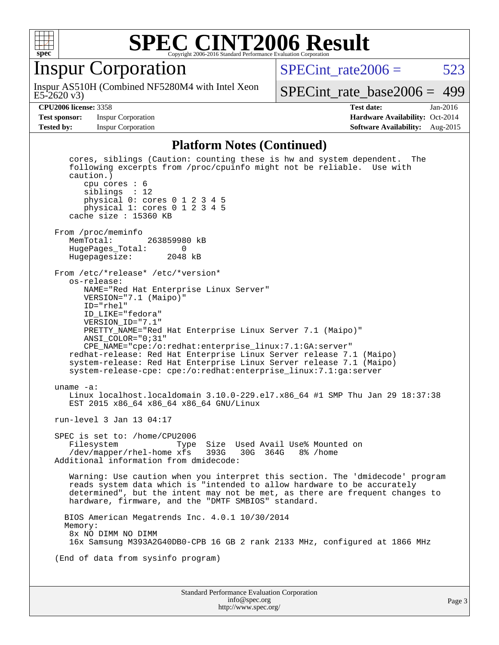

#### Inspur Corporation

E5-2620 v3) Inspur AS510H (Combined NF5280M4 with Intel Xeon SPECint rate $2006 = 523$ 

[SPECint\\_rate\\_base2006 =](http://www.spec.org/auto/cpu2006/Docs/result-fields.html#SPECintratebase2006) 499

**[Test sponsor:](http://www.spec.org/auto/cpu2006/Docs/result-fields.html#Testsponsor)** Inspur Corporation **[Hardware Availability:](http://www.spec.org/auto/cpu2006/Docs/result-fields.html#HardwareAvailability)** Oct-2014

**[CPU2006 license:](http://www.spec.org/auto/cpu2006/Docs/result-fields.html#CPU2006license)** 3358 **[Test date:](http://www.spec.org/auto/cpu2006/Docs/result-fields.html#Testdate)** Jan-2016 **[Tested by:](http://www.spec.org/auto/cpu2006/Docs/result-fields.html#Testedby)** Inspur Corporation **[Software Availability:](http://www.spec.org/auto/cpu2006/Docs/result-fields.html#SoftwareAvailability)** Aug-2015

#### **[Platform Notes \(Continued\)](http://www.spec.org/auto/cpu2006/Docs/result-fields.html#PlatformNotes)**

Standard Performance Evaluation Corporation [info@spec.org](mailto:info@spec.org) Page 3 cores, siblings (Caution: counting these is hw and system dependent. The following excerpts from /proc/cpuinfo might not be reliable. Use with caution.) cpu cores : 6 siblings : 12 physical 0: cores 0 1 2 3 4 5 physical 1: cores 0 1 2 3 4 5 cache size : 15360 KB From /proc/meminfo<br>MemTotal: 263859980 kB HugePages\_Total: 0 Hugepagesize: 2048 kB From /etc/\*release\* /etc/\*version\* os-release: NAME="Red Hat Enterprise Linux Server" VERSION="7.1 (Maipo)" ID="rhel" ID\_LIKE="fedora" VERSION\_ID="7.1" PRETTY\_NAME="Red Hat Enterprise Linux Server 7.1 (Maipo)" ANSI\_COLOR="0;31" CPE\_NAME="cpe:/o:redhat:enterprise\_linux:7.1:GA:server" redhat-release: Red Hat Enterprise Linux Server release 7.1 (Maipo) system-release: Red Hat Enterprise Linux Server release 7.1 (Maipo) system-release-cpe: cpe:/o:redhat:enterprise\_linux:7.1:ga:server uname -a: Linux localhost.localdomain 3.10.0-229.el7.x86\_64 #1 SMP Thu Jan 29 18:37:38 EST 2015 x86\_64 x86\_64 x86\_64 GNU/Linux run-level 3 Jan 13 04:17 SPEC is set to: /home/CPU2006 Filesystem Type Size Used Avail Use% Mounted on /dev/mapper/rhel-home xfs 393G 30G 364G 8% /home Additional information from dmidecode: Warning: Use caution when you interpret this section. The 'dmidecode' program reads system data which is "intended to allow hardware to be accurately determined", but the intent may not be met, as there are frequent changes to hardware, firmware, and the "DMTF SMBIOS" standard. BIOS American Megatrends Inc. 4.0.1 10/30/2014 Memory: 8x NO DIMM NO DIMM 16x Samsung M393A2G40DB0-CPB 16 GB 2 rank 2133 MHz, configured at 1866 MHz (End of data from sysinfo program)

<http://www.spec.org/>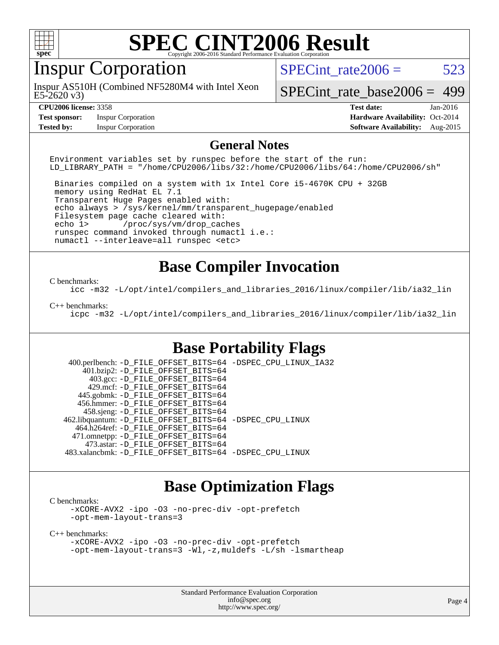

### Inspur Corporation

E5-2620 v3) Inspur AS510H (Combined NF5280M4 with Intel Xeon SPECint rate $2006 = 523$ 

[SPECint\\_rate\\_base2006 =](http://www.spec.org/auto/cpu2006/Docs/result-fields.html#SPECintratebase2006) 499

**[Test sponsor:](http://www.spec.org/auto/cpu2006/Docs/result-fields.html#Testsponsor)** Inspur Corporation **[Hardware Availability:](http://www.spec.org/auto/cpu2006/Docs/result-fields.html#HardwareAvailability)** Oct-2014

**[CPU2006 license:](http://www.spec.org/auto/cpu2006/Docs/result-fields.html#CPU2006license)** 3358 **[Test date:](http://www.spec.org/auto/cpu2006/Docs/result-fields.html#Testdate)** Jan-2016 **[Tested by:](http://www.spec.org/auto/cpu2006/Docs/result-fields.html#Testedby)** Inspur Corporation **[Software Availability:](http://www.spec.org/auto/cpu2006/Docs/result-fields.html#SoftwareAvailability)** Aug-2015

#### **[General Notes](http://www.spec.org/auto/cpu2006/Docs/result-fields.html#GeneralNotes)**

Environment variables set by runspec before the start of the run: LD\_LIBRARY\_PATH = "/home/CPU2006/libs/32:/home/CPU2006/libs/64:/home/CPU2006/sh"

 Binaries compiled on a system with 1x Intel Core i5-4670K CPU + 32GB memory using RedHat EL 7.1 Transparent Huge Pages enabled with: echo always > /sys/kernel/mm/transparent\_hugepage/enabled Filesystem page cache cleared with: echo 1> /proc/sys/vm/drop\_caches runspec command invoked through numactl i.e.: numactl --interleave=all runspec <etc>

#### **[Base Compiler Invocation](http://www.spec.org/auto/cpu2006/Docs/result-fields.html#BaseCompilerInvocation)**

#### [C benchmarks](http://www.spec.org/auto/cpu2006/Docs/result-fields.html#Cbenchmarks):

[icc -m32 -L/opt/intel/compilers\\_and\\_libraries\\_2016/linux/compiler/lib/ia32\\_lin](http://www.spec.org/cpu2006/results/res2016q1/cpu2006-20160118-38710.flags.html#user_CCbase_intel_icc_e10256ba5924b668798078a321b0cb3f)

#### [C++ benchmarks:](http://www.spec.org/auto/cpu2006/Docs/result-fields.html#CXXbenchmarks)

[icpc -m32 -L/opt/intel/compilers\\_and\\_libraries\\_2016/linux/compiler/lib/ia32\\_lin](http://www.spec.org/cpu2006/results/res2016q1/cpu2006-20160118-38710.flags.html#user_CXXbase_intel_icpc_b4f50a394bdb4597aa5879c16bc3f5c5)

#### **[Base Portability Flags](http://www.spec.org/auto/cpu2006/Docs/result-fields.html#BasePortabilityFlags)**

 400.perlbench: [-D\\_FILE\\_OFFSET\\_BITS=64](http://www.spec.org/cpu2006/results/res2016q1/cpu2006-20160118-38710.flags.html#user_basePORTABILITY400_perlbench_file_offset_bits_64_438cf9856305ebd76870a2c6dc2689ab) [-DSPEC\\_CPU\\_LINUX\\_IA32](http://www.spec.org/cpu2006/results/res2016q1/cpu2006-20160118-38710.flags.html#b400.perlbench_baseCPORTABILITY_DSPEC_CPU_LINUX_IA32) 401.bzip2: [-D\\_FILE\\_OFFSET\\_BITS=64](http://www.spec.org/cpu2006/results/res2016q1/cpu2006-20160118-38710.flags.html#user_basePORTABILITY401_bzip2_file_offset_bits_64_438cf9856305ebd76870a2c6dc2689ab) 403.gcc: [-D\\_FILE\\_OFFSET\\_BITS=64](http://www.spec.org/cpu2006/results/res2016q1/cpu2006-20160118-38710.flags.html#user_basePORTABILITY403_gcc_file_offset_bits_64_438cf9856305ebd76870a2c6dc2689ab) 429.mcf: [-D\\_FILE\\_OFFSET\\_BITS=64](http://www.spec.org/cpu2006/results/res2016q1/cpu2006-20160118-38710.flags.html#user_basePORTABILITY429_mcf_file_offset_bits_64_438cf9856305ebd76870a2c6dc2689ab) 445.gobmk: [-D\\_FILE\\_OFFSET\\_BITS=64](http://www.spec.org/cpu2006/results/res2016q1/cpu2006-20160118-38710.flags.html#user_basePORTABILITY445_gobmk_file_offset_bits_64_438cf9856305ebd76870a2c6dc2689ab) 456.hmmer: [-D\\_FILE\\_OFFSET\\_BITS=64](http://www.spec.org/cpu2006/results/res2016q1/cpu2006-20160118-38710.flags.html#user_basePORTABILITY456_hmmer_file_offset_bits_64_438cf9856305ebd76870a2c6dc2689ab) 458.sjeng: [-D\\_FILE\\_OFFSET\\_BITS=64](http://www.spec.org/cpu2006/results/res2016q1/cpu2006-20160118-38710.flags.html#user_basePORTABILITY458_sjeng_file_offset_bits_64_438cf9856305ebd76870a2c6dc2689ab) 462.libquantum: [-D\\_FILE\\_OFFSET\\_BITS=64](http://www.spec.org/cpu2006/results/res2016q1/cpu2006-20160118-38710.flags.html#user_basePORTABILITY462_libquantum_file_offset_bits_64_438cf9856305ebd76870a2c6dc2689ab) [-DSPEC\\_CPU\\_LINUX](http://www.spec.org/cpu2006/results/res2016q1/cpu2006-20160118-38710.flags.html#b462.libquantum_baseCPORTABILITY_DSPEC_CPU_LINUX) 464.h264ref: [-D\\_FILE\\_OFFSET\\_BITS=64](http://www.spec.org/cpu2006/results/res2016q1/cpu2006-20160118-38710.flags.html#user_basePORTABILITY464_h264ref_file_offset_bits_64_438cf9856305ebd76870a2c6dc2689ab) 471.omnetpp: [-D\\_FILE\\_OFFSET\\_BITS=64](http://www.spec.org/cpu2006/results/res2016q1/cpu2006-20160118-38710.flags.html#user_basePORTABILITY471_omnetpp_file_offset_bits_64_438cf9856305ebd76870a2c6dc2689ab) 473.astar: [-D\\_FILE\\_OFFSET\\_BITS=64](http://www.spec.org/cpu2006/results/res2016q1/cpu2006-20160118-38710.flags.html#user_basePORTABILITY473_astar_file_offset_bits_64_438cf9856305ebd76870a2c6dc2689ab) 483.xalancbmk: [-D\\_FILE\\_OFFSET\\_BITS=64](http://www.spec.org/cpu2006/results/res2016q1/cpu2006-20160118-38710.flags.html#user_basePORTABILITY483_xalancbmk_file_offset_bits_64_438cf9856305ebd76870a2c6dc2689ab) [-DSPEC\\_CPU\\_LINUX](http://www.spec.org/cpu2006/results/res2016q1/cpu2006-20160118-38710.flags.html#b483.xalancbmk_baseCXXPORTABILITY_DSPEC_CPU_LINUX)

#### **[Base Optimization Flags](http://www.spec.org/auto/cpu2006/Docs/result-fields.html#BaseOptimizationFlags)**

[C benchmarks](http://www.spec.org/auto/cpu2006/Docs/result-fields.html#Cbenchmarks):

[-xCORE-AVX2](http://www.spec.org/cpu2006/results/res2016q1/cpu2006-20160118-38710.flags.html#user_CCbase_f-xAVX2_5f5fc0cbe2c9f62c816d3e45806c70d7) [-ipo](http://www.spec.org/cpu2006/results/res2016q1/cpu2006-20160118-38710.flags.html#user_CCbase_f-ipo) [-O3](http://www.spec.org/cpu2006/results/res2016q1/cpu2006-20160118-38710.flags.html#user_CCbase_f-O3) [-no-prec-div](http://www.spec.org/cpu2006/results/res2016q1/cpu2006-20160118-38710.flags.html#user_CCbase_f-no-prec-div) [-opt-prefetch](http://www.spec.org/cpu2006/results/res2016q1/cpu2006-20160118-38710.flags.html#user_CCbase_f-opt-prefetch) [-opt-mem-layout-trans=3](http://www.spec.org/cpu2006/results/res2016q1/cpu2006-20160118-38710.flags.html#user_CCbase_f-opt-mem-layout-trans_a7b82ad4bd7abf52556d4961a2ae94d5)

[C++ benchmarks:](http://www.spec.org/auto/cpu2006/Docs/result-fields.html#CXXbenchmarks)

[-xCORE-AVX2](http://www.spec.org/cpu2006/results/res2016q1/cpu2006-20160118-38710.flags.html#user_CXXbase_f-xAVX2_5f5fc0cbe2c9f62c816d3e45806c70d7) [-ipo](http://www.spec.org/cpu2006/results/res2016q1/cpu2006-20160118-38710.flags.html#user_CXXbase_f-ipo) [-O3](http://www.spec.org/cpu2006/results/res2016q1/cpu2006-20160118-38710.flags.html#user_CXXbase_f-O3) [-no-prec-div](http://www.spec.org/cpu2006/results/res2016q1/cpu2006-20160118-38710.flags.html#user_CXXbase_f-no-prec-div) [-opt-prefetch](http://www.spec.org/cpu2006/results/res2016q1/cpu2006-20160118-38710.flags.html#user_CXXbase_f-opt-prefetch) [-opt-mem-layout-trans=3](http://www.spec.org/cpu2006/results/res2016q1/cpu2006-20160118-38710.flags.html#user_CXXbase_f-opt-mem-layout-trans_a7b82ad4bd7abf52556d4961a2ae94d5) [-Wl,-z,muldefs](http://www.spec.org/cpu2006/results/res2016q1/cpu2006-20160118-38710.flags.html#user_CXXbase_link_force_multiple1_74079c344b956b9658436fd1b6dd3a8a) [-L/sh -lsmartheap](http://www.spec.org/cpu2006/results/res2016q1/cpu2006-20160118-38710.flags.html#user_CXXbase_SmartHeap_32f6c82aa1ed9c52345d30cf6e4a0499)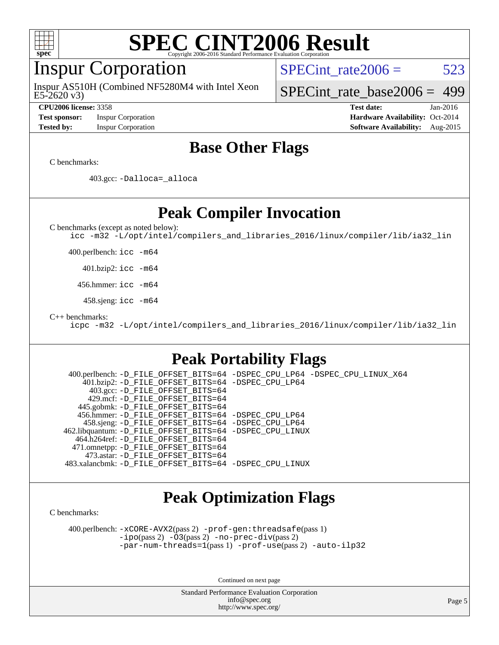

#### Inspur Corporation

E5-2620 v3) Inspur AS510H (Combined NF5280M4 with Intel Xeon SPECint rate $2006 = 523$ 

[SPECint\\_rate\\_base2006 =](http://www.spec.org/auto/cpu2006/Docs/result-fields.html#SPECintratebase2006) 499

**[Test sponsor:](http://www.spec.org/auto/cpu2006/Docs/result-fields.html#Testsponsor)** Inspur Corporation **[Hardware Availability:](http://www.spec.org/auto/cpu2006/Docs/result-fields.html#HardwareAvailability)** Oct-2014

**[CPU2006 license:](http://www.spec.org/auto/cpu2006/Docs/result-fields.html#CPU2006license)** 3358 **[Test date:](http://www.spec.org/auto/cpu2006/Docs/result-fields.html#Testdate)** Jan-2016 **[Tested by:](http://www.spec.org/auto/cpu2006/Docs/result-fields.html#Testedby)** Inspur Corporation **[Software Availability:](http://www.spec.org/auto/cpu2006/Docs/result-fields.html#SoftwareAvailability)** Aug-2015

#### **[Base Other Flags](http://www.spec.org/auto/cpu2006/Docs/result-fields.html#BaseOtherFlags)**

[C benchmarks](http://www.spec.org/auto/cpu2006/Docs/result-fields.html#Cbenchmarks):

403.gcc: [-Dalloca=\\_alloca](http://www.spec.org/cpu2006/results/res2016q1/cpu2006-20160118-38710.flags.html#b403.gcc_baseEXTRA_CFLAGS_Dalloca_be3056838c12de2578596ca5467af7f3)

**[Peak Compiler Invocation](http://www.spec.org/auto/cpu2006/Docs/result-fields.html#PeakCompilerInvocation)**

[C benchmarks \(except as noted below\)](http://www.spec.org/auto/cpu2006/Docs/result-fields.html#Cbenchmarksexceptasnotedbelow):

[icc -m32 -L/opt/intel/compilers\\_and\\_libraries\\_2016/linux/compiler/lib/ia32\\_lin](http://www.spec.org/cpu2006/results/res2016q1/cpu2006-20160118-38710.flags.html#user_CCpeak_intel_icc_e10256ba5924b668798078a321b0cb3f)

400.perlbench: [icc -m64](http://www.spec.org/cpu2006/results/res2016q1/cpu2006-20160118-38710.flags.html#user_peakCCLD400_perlbench_intel_icc_64bit_bda6cc9af1fdbb0edc3795bac97ada53)

401.bzip2: [icc -m64](http://www.spec.org/cpu2006/results/res2016q1/cpu2006-20160118-38710.flags.html#user_peakCCLD401_bzip2_intel_icc_64bit_bda6cc9af1fdbb0edc3795bac97ada53)

456.hmmer: [icc -m64](http://www.spec.org/cpu2006/results/res2016q1/cpu2006-20160118-38710.flags.html#user_peakCCLD456_hmmer_intel_icc_64bit_bda6cc9af1fdbb0edc3795bac97ada53)

458.sjeng: [icc -m64](http://www.spec.org/cpu2006/results/res2016q1/cpu2006-20160118-38710.flags.html#user_peakCCLD458_sjeng_intel_icc_64bit_bda6cc9af1fdbb0edc3795bac97ada53)

[C++ benchmarks:](http://www.spec.org/auto/cpu2006/Docs/result-fields.html#CXXbenchmarks)

[icpc -m32 -L/opt/intel/compilers\\_and\\_libraries\\_2016/linux/compiler/lib/ia32\\_lin](http://www.spec.org/cpu2006/results/res2016q1/cpu2006-20160118-38710.flags.html#user_CXXpeak_intel_icpc_b4f50a394bdb4597aa5879c16bc3f5c5)

#### **[Peak Portability Flags](http://www.spec.org/auto/cpu2006/Docs/result-fields.html#PeakPortabilityFlags)**

 400.perlbench: [-D\\_FILE\\_OFFSET\\_BITS=64](http://www.spec.org/cpu2006/results/res2016q1/cpu2006-20160118-38710.flags.html#user_peakPORTABILITY400_perlbench_file_offset_bits_64_438cf9856305ebd76870a2c6dc2689ab) [-DSPEC\\_CPU\\_LP64](http://www.spec.org/cpu2006/results/res2016q1/cpu2006-20160118-38710.flags.html#b400.perlbench_peakCPORTABILITY_DSPEC_CPU_LP64) [-DSPEC\\_CPU\\_LINUX\\_X64](http://www.spec.org/cpu2006/results/res2016q1/cpu2006-20160118-38710.flags.html#b400.perlbench_peakCPORTABILITY_DSPEC_CPU_LINUX_X64) 401.bzip2: [-D\\_FILE\\_OFFSET\\_BITS=64](http://www.spec.org/cpu2006/results/res2016q1/cpu2006-20160118-38710.flags.html#user_peakPORTABILITY401_bzip2_file_offset_bits_64_438cf9856305ebd76870a2c6dc2689ab) [-DSPEC\\_CPU\\_LP64](http://www.spec.org/cpu2006/results/res2016q1/cpu2006-20160118-38710.flags.html#suite_peakCPORTABILITY401_bzip2_DSPEC_CPU_LP64) 403.gcc: [-D\\_FILE\\_OFFSET\\_BITS=64](http://www.spec.org/cpu2006/results/res2016q1/cpu2006-20160118-38710.flags.html#user_peakPORTABILITY403_gcc_file_offset_bits_64_438cf9856305ebd76870a2c6dc2689ab) 429.mcf: [-D\\_FILE\\_OFFSET\\_BITS=64](http://www.spec.org/cpu2006/results/res2016q1/cpu2006-20160118-38710.flags.html#user_peakPORTABILITY429_mcf_file_offset_bits_64_438cf9856305ebd76870a2c6dc2689ab) 445.gobmk: [-D\\_FILE\\_OFFSET\\_BITS=64](http://www.spec.org/cpu2006/results/res2016q1/cpu2006-20160118-38710.flags.html#user_peakPORTABILITY445_gobmk_file_offset_bits_64_438cf9856305ebd76870a2c6dc2689ab) 456.hmmer: [-D\\_FILE\\_OFFSET\\_BITS=64](http://www.spec.org/cpu2006/results/res2016q1/cpu2006-20160118-38710.flags.html#user_peakPORTABILITY456_hmmer_file_offset_bits_64_438cf9856305ebd76870a2c6dc2689ab) [-DSPEC\\_CPU\\_LP64](http://www.spec.org/cpu2006/results/res2016q1/cpu2006-20160118-38710.flags.html#suite_peakCPORTABILITY456_hmmer_DSPEC_CPU_LP64) 458.sjeng: [-D\\_FILE\\_OFFSET\\_BITS=64](http://www.spec.org/cpu2006/results/res2016q1/cpu2006-20160118-38710.flags.html#user_peakPORTABILITY458_sjeng_file_offset_bits_64_438cf9856305ebd76870a2c6dc2689ab) [-DSPEC\\_CPU\\_LP64](http://www.spec.org/cpu2006/results/res2016q1/cpu2006-20160118-38710.flags.html#suite_peakCPORTABILITY458_sjeng_DSPEC_CPU_LP64) 462.libquantum: [-D\\_FILE\\_OFFSET\\_BITS=64](http://www.spec.org/cpu2006/results/res2016q1/cpu2006-20160118-38710.flags.html#user_peakPORTABILITY462_libquantum_file_offset_bits_64_438cf9856305ebd76870a2c6dc2689ab) [-DSPEC\\_CPU\\_LINUX](http://www.spec.org/cpu2006/results/res2016q1/cpu2006-20160118-38710.flags.html#b462.libquantum_peakCPORTABILITY_DSPEC_CPU_LINUX) 464.h264ref: [-D\\_FILE\\_OFFSET\\_BITS=64](http://www.spec.org/cpu2006/results/res2016q1/cpu2006-20160118-38710.flags.html#user_peakPORTABILITY464_h264ref_file_offset_bits_64_438cf9856305ebd76870a2c6dc2689ab) 471.omnetpp: [-D\\_FILE\\_OFFSET\\_BITS=64](http://www.spec.org/cpu2006/results/res2016q1/cpu2006-20160118-38710.flags.html#user_peakPORTABILITY471_omnetpp_file_offset_bits_64_438cf9856305ebd76870a2c6dc2689ab) 473.astar: [-D\\_FILE\\_OFFSET\\_BITS=64](http://www.spec.org/cpu2006/results/res2016q1/cpu2006-20160118-38710.flags.html#user_peakPORTABILITY473_astar_file_offset_bits_64_438cf9856305ebd76870a2c6dc2689ab) 483.xalancbmk: [-D\\_FILE\\_OFFSET\\_BITS=64](http://www.spec.org/cpu2006/results/res2016q1/cpu2006-20160118-38710.flags.html#user_peakPORTABILITY483_xalancbmk_file_offset_bits_64_438cf9856305ebd76870a2c6dc2689ab) [-DSPEC\\_CPU\\_LINUX](http://www.spec.org/cpu2006/results/res2016q1/cpu2006-20160118-38710.flags.html#b483.xalancbmk_peakCXXPORTABILITY_DSPEC_CPU_LINUX)

#### **[Peak Optimization Flags](http://www.spec.org/auto/cpu2006/Docs/result-fields.html#PeakOptimizationFlags)**

[C benchmarks](http://www.spec.org/auto/cpu2006/Docs/result-fields.html#Cbenchmarks):

 400.perlbench: [-xCORE-AVX2](http://www.spec.org/cpu2006/results/res2016q1/cpu2006-20160118-38710.flags.html#user_peakPASS2_CFLAGSPASS2_LDCFLAGS400_perlbench_f-xAVX2_5f5fc0cbe2c9f62c816d3e45806c70d7)(pass 2) [-prof-gen:threadsafe](http://www.spec.org/cpu2006/results/res2016q1/cpu2006-20160118-38710.flags.html#user_peakPASS1_CFLAGSPASS1_LDCFLAGS400_perlbench_prof_gen_21a26eb79f378b550acd7bec9fe4467a)(pass 1) [-ipo](http://www.spec.org/cpu2006/results/res2016q1/cpu2006-20160118-38710.flags.html#user_peakPASS2_CFLAGSPASS2_LDCFLAGS400_perlbench_f-ipo)(pass 2) [-O3](http://www.spec.org/cpu2006/results/res2016q1/cpu2006-20160118-38710.flags.html#user_peakPASS2_CFLAGSPASS2_LDCFLAGS400_perlbench_f-O3)(pass 2) [-no-prec-div](http://www.spec.org/cpu2006/results/res2016q1/cpu2006-20160118-38710.flags.html#user_peakPASS2_CFLAGSPASS2_LDCFLAGS400_perlbench_f-no-prec-div)(pass 2) [-par-num-threads=1](http://www.spec.org/cpu2006/results/res2016q1/cpu2006-20160118-38710.flags.html#user_peakPASS1_CFLAGSPASS1_LDCFLAGS400_perlbench_par_num_threads_786a6ff141b4e9e90432e998842df6c2)(pass 1) [-prof-use](http://www.spec.org/cpu2006/results/res2016q1/cpu2006-20160118-38710.flags.html#user_peakPASS2_CFLAGSPASS2_LDCFLAGS400_perlbench_prof_use_bccf7792157ff70d64e32fe3e1250b55)(pass 2) [-auto-ilp32](http://www.spec.org/cpu2006/results/res2016q1/cpu2006-20160118-38710.flags.html#user_peakCOPTIMIZE400_perlbench_f-auto-ilp32)

Continued on next page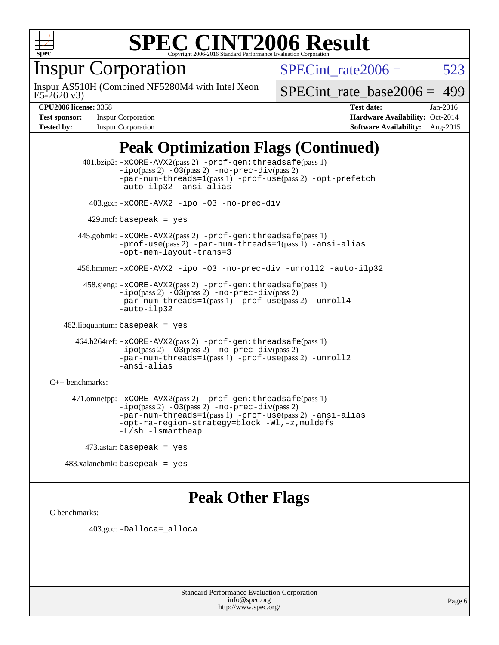

### Inspur Corporation

E5-2620 v3) Inspur AS510H (Combined NF5280M4 with Intel Xeon SPECint rate $2006 = 523$ 

[SPECint\\_rate\\_base2006 =](http://www.spec.org/auto/cpu2006/Docs/result-fields.html#SPECintratebase2006) 499

**[Test sponsor:](http://www.spec.org/auto/cpu2006/Docs/result-fields.html#Testsponsor)** Inspur Corporation **[Hardware Availability:](http://www.spec.org/auto/cpu2006/Docs/result-fields.html#HardwareAvailability)** Oct-2014

**[CPU2006 license:](http://www.spec.org/auto/cpu2006/Docs/result-fields.html#CPU2006license)** 3358 **[Test date:](http://www.spec.org/auto/cpu2006/Docs/result-fields.html#Testdate)** Jan-2016 **[Tested by:](http://www.spec.org/auto/cpu2006/Docs/result-fields.html#Testedby)** Inspur Corporation **[Software Availability:](http://www.spec.org/auto/cpu2006/Docs/result-fields.html#SoftwareAvailability)** Aug-2015

#### **[Peak Optimization Flags \(Continued\)](http://www.spec.org/auto/cpu2006/Docs/result-fields.html#PeakOptimizationFlags)**

 401.bzip2: [-xCORE-AVX2](http://www.spec.org/cpu2006/results/res2016q1/cpu2006-20160118-38710.flags.html#user_peakPASS2_CFLAGSPASS2_LDCFLAGS401_bzip2_f-xAVX2_5f5fc0cbe2c9f62c816d3e45806c70d7)(pass 2) [-prof-gen:threadsafe](http://www.spec.org/cpu2006/results/res2016q1/cpu2006-20160118-38710.flags.html#user_peakPASS1_CFLAGSPASS1_LDCFLAGS401_bzip2_prof_gen_21a26eb79f378b550acd7bec9fe4467a)(pass 1)  $-i\text{po}(pass 2) -03(pass 2) -no-prec-div(pass 2)$  $-i\text{po}(pass 2) -03(pass 2) -no-prec-div(pass 2)$  $-i\text{po}(pass 2) -03(pass 2) -no-prec-div(pass 2)$ [-par-num-threads=1](http://www.spec.org/cpu2006/results/res2016q1/cpu2006-20160118-38710.flags.html#user_peakPASS1_CFLAGSPASS1_LDCFLAGS401_bzip2_par_num_threads_786a6ff141b4e9e90432e998842df6c2)(pass 1) [-prof-use](http://www.spec.org/cpu2006/results/res2016q1/cpu2006-20160118-38710.flags.html#user_peakPASS2_CFLAGSPASS2_LDCFLAGS401_bzip2_prof_use_bccf7792157ff70d64e32fe3e1250b55)(pass 2) [-opt-prefetch](http://www.spec.org/cpu2006/results/res2016q1/cpu2006-20160118-38710.flags.html#user_peakCOPTIMIZE401_bzip2_f-opt-prefetch) [-auto-ilp32](http://www.spec.org/cpu2006/results/res2016q1/cpu2006-20160118-38710.flags.html#user_peakCOPTIMIZE401_bzip2_f-auto-ilp32) [-ansi-alias](http://www.spec.org/cpu2006/results/res2016q1/cpu2006-20160118-38710.flags.html#user_peakCOPTIMIZE401_bzip2_f-ansi-alias) 403.gcc: [-xCORE-AVX2](http://www.spec.org/cpu2006/results/res2016q1/cpu2006-20160118-38710.flags.html#user_peakCOPTIMIZE403_gcc_f-xAVX2_5f5fc0cbe2c9f62c816d3e45806c70d7) [-ipo](http://www.spec.org/cpu2006/results/res2016q1/cpu2006-20160118-38710.flags.html#user_peakCOPTIMIZE403_gcc_f-ipo) [-O3](http://www.spec.org/cpu2006/results/res2016q1/cpu2006-20160118-38710.flags.html#user_peakCOPTIMIZE403_gcc_f-O3) [-no-prec-div](http://www.spec.org/cpu2006/results/res2016q1/cpu2006-20160118-38710.flags.html#user_peakCOPTIMIZE403_gcc_f-no-prec-div)  $429$ .mcf: basepeak = yes 445.gobmk: [-xCORE-AVX2](http://www.spec.org/cpu2006/results/res2016q1/cpu2006-20160118-38710.flags.html#user_peakPASS2_CFLAGSPASS2_LDCFLAGS445_gobmk_f-xAVX2_5f5fc0cbe2c9f62c816d3e45806c70d7)(pass 2) [-prof-gen:threadsafe](http://www.spec.org/cpu2006/results/res2016q1/cpu2006-20160118-38710.flags.html#user_peakPASS1_CFLAGSPASS1_LDCFLAGS445_gobmk_prof_gen_21a26eb79f378b550acd7bec9fe4467a)(pass 1) [-prof-use](http://www.spec.org/cpu2006/results/res2016q1/cpu2006-20160118-38710.flags.html#user_peakPASS2_CFLAGSPASS2_LDCFLAGS445_gobmk_prof_use_bccf7792157ff70d64e32fe3e1250b55)(pass 2) [-par-num-threads=1](http://www.spec.org/cpu2006/results/res2016q1/cpu2006-20160118-38710.flags.html#user_peakPASS1_CFLAGSPASS1_LDCFLAGS445_gobmk_par_num_threads_786a6ff141b4e9e90432e998842df6c2)(pass 1) [-ansi-alias](http://www.spec.org/cpu2006/results/res2016q1/cpu2006-20160118-38710.flags.html#user_peakCOPTIMIZE445_gobmk_f-ansi-alias) [-opt-mem-layout-trans=3](http://www.spec.org/cpu2006/results/res2016q1/cpu2006-20160118-38710.flags.html#user_peakCOPTIMIZE445_gobmk_f-opt-mem-layout-trans_a7b82ad4bd7abf52556d4961a2ae94d5) 456.hmmer: [-xCORE-AVX2](http://www.spec.org/cpu2006/results/res2016q1/cpu2006-20160118-38710.flags.html#user_peakCOPTIMIZE456_hmmer_f-xAVX2_5f5fc0cbe2c9f62c816d3e45806c70d7) [-ipo](http://www.spec.org/cpu2006/results/res2016q1/cpu2006-20160118-38710.flags.html#user_peakCOPTIMIZE456_hmmer_f-ipo) [-O3](http://www.spec.org/cpu2006/results/res2016q1/cpu2006-20160118-38710.flags.html#user_peakCOPTIMIZE456_hmmer_f-O3) [-no-prec-div](http://www.spec.org/cpu2006/results/res2016q1/cpu2006-20160118-38710.flags.html#user_peakCOPTIMIZE456_hmmer_f-no-prec-div) [-unroll2](http://www.spec.org/cpu2006/results/res2016q1/cpu2006-20160118-38710.flags.html#user_peakCOPTIMIZE456_hmmer_f-unroll_784dae83bebfb236979b41d2422d7ec2) [-auto-ilp32](http://www.spec.org/cpu2006/results/res2016q1/cpu2006-20160118-38710.flags.html#user_peakCOPTIMIZE456_hmmer_f-auto-ilp32) 458.sjeng: [-xCORE-AVX2](http://www.spec.org/cpu2006/results/res2016q1/cpu2006-20160118-38710.flags.html#user_peakPASS2_CFLAGSPASS2_LDCFLAGS458_sjeng_f-xAVX2_5f5fc0cbe2c9f62c816d3e45806c70d7)(pass 2) [-prof-gen:threadsafe](http://www.spec.org/cpu2006/results/res2016q1/cpu2006-20160118-38710.flags.html#user_peakPASS1_CFLAGSPASS1_LDCFLAGS458_sjeng_prof_gen_21a26eb79f378b550acd7bec9fe4467a)(pass 1) [-ipo](http://www.spec.org/cpu2006/results/res2016q1/cpu2006-20160118-38710.flags.html#user_peakPASS2_CFLAGSPASS2_LDCFLAGS458_sjeng_f-ipo)(pass 2) [-O3](http://www.spec.org/cpu2006/results/res2016q1/cpu2006-20160118-38710.flags.html#user_peakPASS2_CFLAGSPASS2_LDCFLAGS458_sjeng_f-O3)(pass 2) [-no-prec-div](http://www.spec.org/cpu2006/results/res2016q1/cpu2006-20160118-38710.flags.html#user_peakPASS2_CFLAGSPASS2_LDCFLAGS458_sjeng_f-no-prec-div)(pass 2) [-par-num-threads=1](http://www.spec.org/cpu2006/results/res2016q1/cpu2006-20160118-38710.flags.html#user_peakPASS1_CFLAGSPASS1_LDCFLAGS458_sjeng_par_num_threads_786a6ff141b4e9e90432e998842df6c2)(pass 1) [-prof-use](http://www.spec.org/cpu2006/results/res2016q1/cpu2006-20160118-38710.flags.html#user_peakPASS2_CFLAGSPASS2_LDCFLAGS458_sjeng_prof_use_bccf7792157ff70d64e32fe3e1250b55)(pass 2) [-unroll4](http://www.spec.org/cpu2006/results/res2016q1/cpu2006-20160118-38710.flags.html#user_peakCOPTIMIZE458_sjeng_f-unroll_4e5e4ed65b7fd20bdcd365bec371b81f) [-auto-ilp32](http://www.spec.org/cpu2006/results/res2016q1/cpu2006-20160118-38710.flags.html#user_peakCOPTIMIZE458_sjeng_f-auto-ilp32) 462.libquantum: basepeak = yes 464.h264ref: [-xCORE-AVX2](http://www.spec.org/cpu2006/results/res2016q1/cpu2006-20160118-38710.flags.html#user_peakPASS2_CFLAGSPASS2_LDCFLAGS464_h264ref_f-xAVX2_5f5fc0cbe2c9f62c816d3e45806c70d7)(pass 2) [-prof-gen:threadsafe](http://www.spec.org/cpu2006/results/res2016q1/cpu2006-20160118-38710.flags.html#user_peakPASS1_CFLAGSPASS1_LDCFLAGS464_h264ref_prof_gen_21a26eb79f378b550acd7bec9fe4467a)(pass 1) [-ipo](http://www.spec.org/cpu2006/results/res2016q1/cpu2006-20160118-38710.flags.html#user_peakPASS2_CFLAGSPASS2_LDCFLAGS464_h264ref_f-ipo)(pass 2) [-O3](http://www.spec.org/cpu2006/results/res2016q1/cpu2006-20160118-38710.flags.html#user_peakPASS2_CFLAGSPASS2_LDCFLAGS464_h264ref_f-O3)(pass 2) [-no-prec-div](http://www.spec.org/cpu2006/results/res2016q1/cpu2006-20160118-38710.flags.html#user_peakPASS2_CFLAGSPASS2_LDCFLAGS464_h264ref_f-no-prec-div)(pass 2) [-par-num-threads=1](http://www.spec.org/cpu2006/results/res2016q1/cpu2006-20160118-38710.flags.html#user_peakPASS1_CFLAGSPASS1_LDCFLAGS464_h264ref_par_num_threads_786a6ff141b4e9e90432e998842df6c2)(pass 1) [-prof-use](http://www.spec.org/cpu2006/results/res2016q1/cpu2006-20160118-38710.flags.html#user_peakPASS2_CFLAGSPASS2_LDCFLAGS464_h264ref_prof_use_bccf7792157ff70d64e32fe3e1250b55)(pass 2) [-unroll2](http://www.spec.org/cpu2006/results/res2016q1/cpu2006-20160118-38710.flags.html#user_peakCOPTIMIZE464_h264ref_f-unroll_784dae83bebfb236979b41d2422d7ec2) [-ansi-alias](http://www.spec.org/cpu2006/results/res2016q1/cpu2006-20160118-38710.flags.html#user_peakCOPTIMIZE464_h264ref_f-ansi-alias) [C++ benchmarks:](http://www.spec.org/auto/cpu2006/Docs/result-fields.html#CXXbenchmarks) 471.omnetpp: [-xCORE-AVX2](http://www.spec.org/cpu2006/results/res2016q1/cpu2006-20160118-38710.flags.html#user_peakPASS2_CXXFLAGSPASS2_LDCXXFLAGS471_omnetpp_f-xAVX2_5f5fc0cbe2c9f62c816d3e45806c70d7)(pass 2) [-prof-gen:threadsafe](http://www.spec.org/cpu2006/results/res2016q1/cpu2006-20160118-38710.flags.html#user_peakPASS1_CXXFLAGSPASS1_LDCXXFLAGS471_omnetpp_prof_gen_21a26eb79f378b550acd7bec9fe4467a)(pass 1)  $-ipo(pass 2) -\overline{03(pass 2)}$  $-ipo(pass 2) -\overline{03(pass 2)}$  [-no-prec-div](http://www.spec.org/cpu2006/results/res2016q1/cpu2006-20160118-38710.flags.html#user_peakPASS2_CXXFLAGSPASS2_LDCXXFLAGS471_omnetpp_f-no-prec-div)(pass 2) [-par-num-threads=1](http://www.spec.org/cpu2006/results/res2016q1/cpu2006-20160118-38710.flags.html#user_peakPASS1_CXXFLAGSPASS1_LDCXXFLAGS471_omnetpp_par_num_threads_786a6ff141b4e9e90432e998842df6c2)(pass 1) [-prof-use](http://www.spec.org/cpu2006/results/res2016q1/cpu2006-20160118-38710.flags.html#user_peakPASS2_CXXFLAGSPASS2_LDCXXFLAGS471_omnetpp_prof_use_bccf7792157ff70d64e32fe3e1250b55)(pass 2) [-ansi-alias](http://www.spec.org/cpu2006/results/res2016q1/cpu2006-20160118-38710.flags.html#user_peakCXXOPTIMIZE471_omnetpp_f-ansi-alias) [-opt-ra-region-strategy=block](http://www.spec.org/cpu2006/results/res2016q1/cpu2006-20160118-38710.flags.html#user_peakCXXOPTIMIZE471_omnetpp_f-opt-ra-region-strategy_a0a37c372d03933b2a18d4af463c1f69) [-Wl,-z,muldefs](http://www.spec.org/cpu2006/results/res2016q1/cpu2006-20160118-38710.flags.html#user_peakEXTRA_LDFLAGS471_omnetpp_link_force_multiple1_74079c344b956b9658436fd1b6dd3a8a) [-L/sh -lsmartheap](http://www.spec.org/cpu2006/results/res2016q1/cpu2006-20160118-38710.flags.html#user_peakEXTRA_LIBS471_omnetpp_SmartHeap_32f6c82aa1ed9c52345d30cf6e4a0499) 473.astar: basepeak = yes

483.xalancbmk: basepeak = yes

#### **[Peak Other Flags](http://www.spec.org/auto/cpu2006/Docs/result-fields.html#PeakOtherFlags)**

[C benchmarks](http://www.spec.org/auto/cpu2006/Docs/result-fields.html#Cbenchmarks):

403.gcc: [-Dalloca=\\_alloca](http://www.spec.org/cpu2006/results/res2016q1/cpu2006-20160118-38710.flags.html#b403.gcc_peakEXTRA_CFLAGS_Dalloca_be3056838c12de2578596ca5467af7f3)